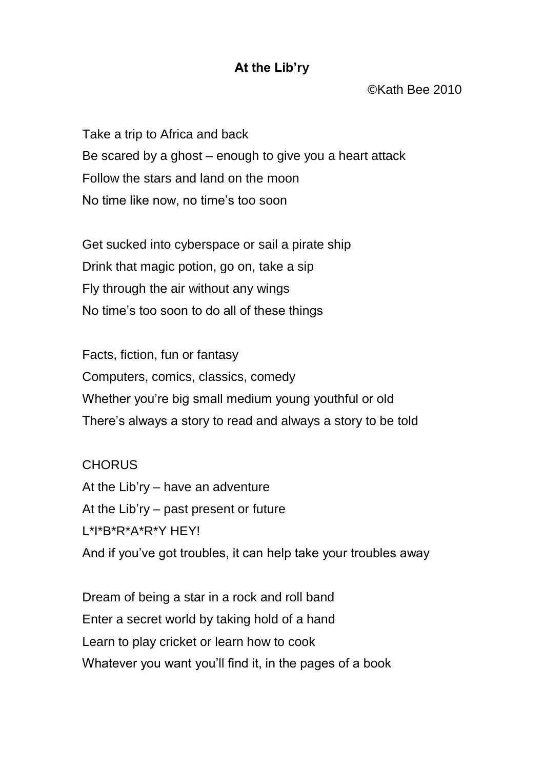## **At the Lib'ry**

©Kath Bee 2010

Take a trip to Africa and back Be scared by a ghost – enough to give you a heart attack Follow the stars and land on the moon No time like now, no time's too soon

Get sucked into cyberspace or sail a pirate ship Drink that magic potion, go on, take a sip Fly through the air without any wings No time's too soon to do all of these things

Facts, fiction, fun or fantasy Computers, comics, classics, comedy Whether you're big small medium young youthful or old There's always a story to read and always a story to be told

**CHORUS** At the Lib'ry – have an adventure At the Lib'ry – past present or future L\*I\*B\*R\*A\*R\*Y HEY! And if you've got troubles, it can help take your troubles away

Dream of being a star in a rock and roll band Enter a secret world by taking hold of a hand Learn to play cricket or learn how to cook Whatever you want you'll find it, in the pages of a book